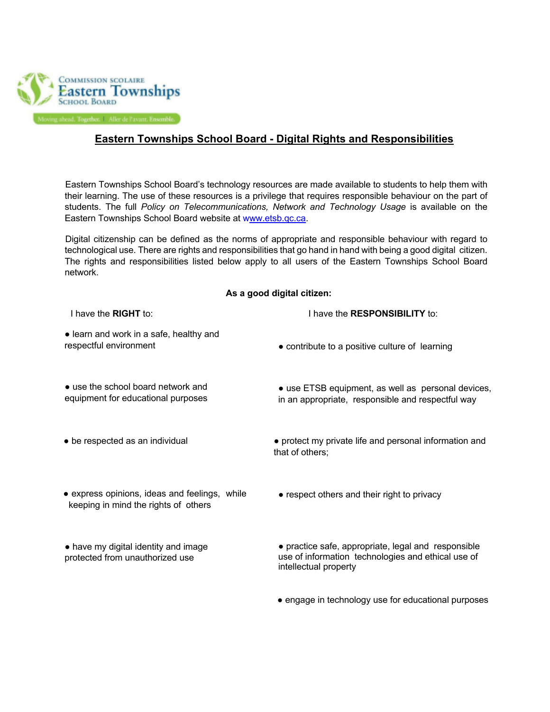

## **Eastern Townships School Board - Digital Rights and Responsibilities**

Eastern Townships School Board's technology resources are made available to students to help them with their learning. The use of these resources is a privilege that requires responsible behaviour on the part of students. The full *Policy on Telecommunications, Network and Technology Usage* is available on the Eastern Townships School Board website at www.etsb.qc.ca.

Digital citizenship can be defined as the norms of appropriate and responsible behaviour with regard to technological use. There are rights and responsibilities that go hand in hand with being a good digital citizen. The rights and responsibilities listed below apply to all users of the Eastern Townships School Board network.

## **As a good digital citizen:**

| I have the <b>RIGHT</b> to:                                                           | I have the <b>RESPONSIBILITY</b> to:                                                                                               |
|---------------------------------------------------------------------------------------|------------------------------------------------------------------------------------------------------------------------------------|
| • learn and work in a safe, healthy and<br>respectful environment                     | • contribute to a positive culture of learning                                                                                     |
| • use the school board network and<br>equipment for educational purposes              | • use ETSB equipment, as well as personal devices,<br>in an appropriate, responsible and respectful way                            |
| • be respected as an individual                                                       | • protect my private life and personal information and<br>that of others;                                                          |
| • express opinions, ideas and feelings, while<br>keeping in mind the rights of others | • respect others and their right to privacy                                                                                        |
| • have my digital identity and image<br>protected from unauthorized use               | • practice safe, appropriate, legal and responsible<br>use of information technologies and ethical use of<br>intellectual property |
|                                                                                       | • engage in technology use for educational purposes                                                                                |